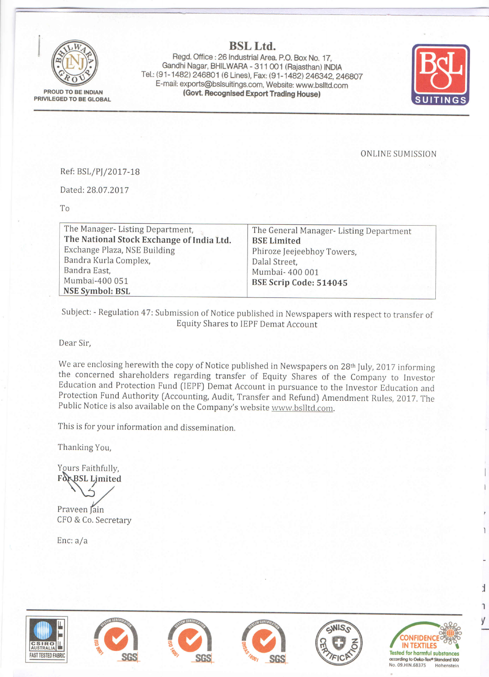

PROUD TO BE INDIAN PRIVILEGED TO BE GLOBAL

## **BSL Ltd.**

Regd. Office: 26 Industrial Area. P.O. Box No. 17, Gandhi Nagar, BHILWARA - 311 001 (Rajasthan) INDIA Tel.: (91-1482) 246801 (6 Lines), Fax: (91-1482) 246342, 246807 E-mail: exports@bslsuitings.com, Website: www.bslltd.com (Govt. Recognised Export Trading House)



**ONLINE SUMISSION** 

## Ref: BSL/PJ/2017-18

Dated: 28.07.2017

To

| The Manager-Listing Department,           | The General Manager- Listing Department |
|-------------------------------------------|-----------------------------------------|
| The National Stock Exchange of India Ltd. | <b>BSE Limited</b>                      |
| Exchange Plaza, NSE Building              | Phiroze Jeejeebhoy Towers,              |
| Bandra Kurla Complex,                     | Dalal Street,                           |
| Bandra East,                              | Mumbai- 400 001                         |
| Mumbai-400 051                            | BSE Scrip Code: 514045                  |
| <b>NSE Symbol: BSL</b>                    |                                         |
|                                           |                                         |

Subject: - Regulation 47: Submission of Notice published in Newspapers with respect to transfer of **Equity Shares to IEPF Demat Account** 

Dear Sir,

We are enclosing herewith the copy of Notice published in Newspapers on 28<sup>th</sup> July, 2017 informing the concerned shareholders regarding transfer of Equity Shares of the Company to Investor Education and Protection Fund (IEPF) Demat Account in pursuance to the Investor Education and Protection Fund Authority (Accounting, Audit, Transfer and Refund) Amendment Rules, 2017. The Public Notice is also available on the Company's website www.bslltd.com.

This is for your information and dissemination.

Thanking You,

Yours Faithfully, For BSL Limited

Praveen Jain CFO & Co. Secretary

Enc:  $a/a$ 













 $\mathbf{I}$ 

 $\mathbf{1}$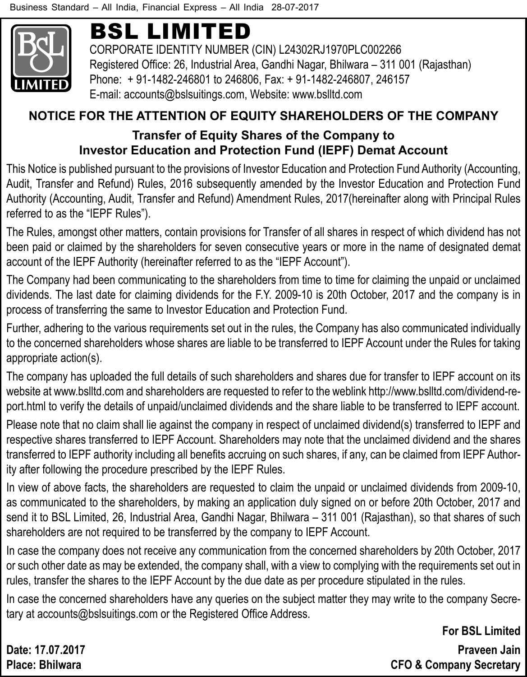

# BSL Limited

CORPORATE IDENTITY NUMBER (CIN) L24302RJ1970PLC002266 Registered Office: 26, Industrial Area, Gandhi Nagar, Bhilwara – 311 001 (Rajasthan) Phone: + 91-1482-246801 to 246806, Fax: + 91-1482-246807, 246157 E-mail: accounts@bslsuitings.com, Website: www.bslltd.com

#### **NOTICE FOR THE ATTENTION OF EQUITY SHAREHOLDERS OF THE COMPANY Transfer of Equity Shares of the Company to Investor Education and Protection Fund (IEPF) Demat Account**

This Notice is published pursuant to the provisions of Investor Education and Protection Fund Authority (Accounting, Audit, Transfer and Refund) Rules, 2016 subsequently amended by the Investor Education and Protection Fund Authority (Accounting, Audit, Transfer and Refund) Amendment Rules, 2017(hereinafter along with Principal Rules referred to as the "IEPF Rules").

The Rules, amongst other matters, contain provisions for Transfer of all shares in respect of which dividend has not been paid or claimed by the shareholders for seven consecutive years or more in the name of designated demat account of the IEPF Authority (hereinafter referred to as the "IEPF Account").

The Company had been communicating to the shareholders from time to time for claiming the unpaid or unclaimed dividends. The last date for claiming dividends for the F.Y. 2009-10 is 20th October, 2017 and the company is in process of transferring the same to Investor Education and Protection Fund.

Further, adhering to the various requirements set out in the rules, the Company has also communicated individually to the concerned shareholders whose shares are liable to be transferred to IEPF Account under the Rules for taking appropriate action(s).

The company has uploaded the full details of such shareholders and shares due for transfer to IEPF account on its website at www.bslltd.com and shareholders are requested to refer to the weblink http://www.bslltd.com/dividend-report.html to verify the details of unpaid/unclaimed dividends and the share liable to be transferred to IEPF account.

Please note that no claim shall lie against the company in respect of unclaimed dividend(s) transferred to IEPF and respective shares transferred to IEPF Account. Shareholders may note that the unclaimed dividend and the shares transferred to IEPF authority including all benefits accruing on such shares, if any, can be claimed from IEPF Authority after following the procedure prescribed by the IEPF Rules.

In view of above facts, the shareholders are requested to claim the unpaid or unclaimed dividends from 2009-10, as communicated to the shareholders, by making an application duly signed on or before 20th October, 2017 and send it to BSL Limited, 26, Industrial Area, Gandhi Nagar, Bhilwara – 311 001 (Rajasthan), so that shares of such shareholders are not required to be transferred by the company to IEPF Account.

In case the company does not receive any communication from the concerned shareholders by 20th October, 2017 or such other date as may be extended, the company shall, with a view to complying with the requirements set out in rules, transfer the shares to the IEPF Account by the due date as per procedure stipulated in the rules.

In case the concerned shareholders have any queries on the subject matter they may write to the company Secretary at accounts@bslsuitings.com or the Registered Office Address.

**For BSL Limited Date: 17.07.2017 Praveen Jain Place: Bhilwara CFO & Company Secretary**